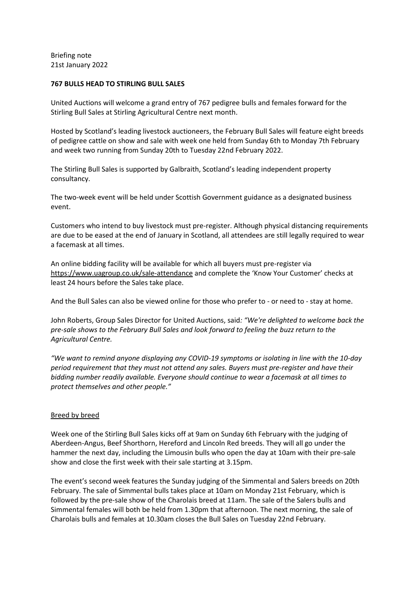Briefing note 21st January 2022

## **767 BULLS HEAD TO STIRLING BULL SALES**

United Auctions will welcome a grand entry of 767 pedigree bulls and females forward for the Stirling Bull Sales at Stirling Agricultural Centre next month.

Hosted by Scotland's leading livestock auctioneers, the February Bull Sales will feature eight breeds of pedigree cattle on show and sale with week one held from Sunday 6th to Monday 7th February and week two running from Sunday 20th to Tuesday 22nd February 2022.

The Stirling Bull Sales is supported by Galbraith, Scotland's leading independent property consultancy.

The two-week event will be held under Scottish Government guidance as a designated business event.

Customers who intend to buy livestock must pre-register. Although physical distancing requirements are due to be eased at the end of January in Scotland, all attendees are still legally required to wear a facemask at all times.

An online bidding facility will be available for which all buyers must pre-register via <https://www.uagroup.co.uk/sale-attendance> and complete the 'Know Your Customer' checks at least 24 hours before the Sales take place.

And the Bull Sales can also be viewed online for those who prefer to - or need to - stay at home.

John Roberts, Group Sales Director for United Auctions, said*: "We're delighted to welcome back the pre-sale shows to the February Bull Sales and look forward to feeling the buzz return to the Agricultural Centre.* 

*"We want to remind anyone displaying any COVID-19 symptoms or isolating in line with the 10-day period requirement that they must not attend any sales. Buyers must pre-register and have their bidding number readily available. Everyone should continue to wear a facemask at all times to protect themselves and other people."*

# Breed by breed

Week one of the Stirling Bull Sales kicks off at 9am on Sunday 6th February with the judging of Aberdeen-Angus, Beef Shorthorn, Hereford and Lincoln Red breeds. They will all go under the hammer the next day, including the Limousin bulls who open the day at 10am with their pre-sale show and close the first week with their sale starting at 3.15pm.

The event's second week features the Sunday judging of the Simmental and Salers breeds on 20th February. The sale of Simmental bulls takes place at 10am on Monday 21st February, which is followed by the pre-sale show of the Charolais breed at 11am. The sale of the Salers bulls and Simmental females will both be held from 1.30pm that afternoon. The next morning, the sale of Charolais bulls and females at 10.30am closes the Bull Sales on Tuesday 22nd February.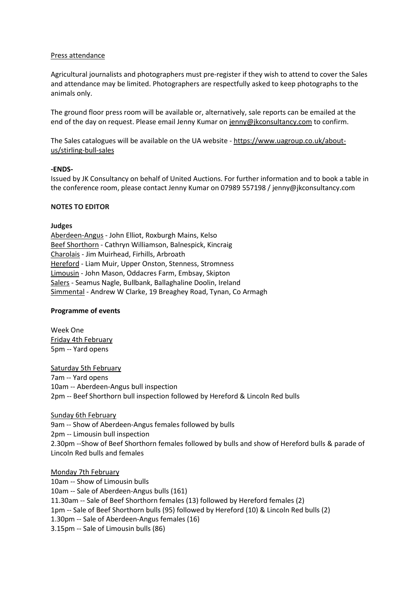## Press attendance

Agricultural journalists and photographers must pre-register if they wish to attend to cover the Sales and attendance may be limited. Photographers are respectfully asked to keep photographs to the animals only.

The ground floor press room will be available or, alternatively, sale reports can be emailed at the end of the day on request. Please email Jenny Kumar on [jenny@jkconsultancy.com](mailto:jenny@jkconsultancy.com) to confirm.

The Sales catalogues will be available on the UA website - [https://www.uagroup.co.uk/about](https://www.uagroup.co.uk/about-us/stirling-bull-sales)[us/stirling-bull-sales](https://www.uagroup.co.uk/about-us/stirling-bull-sales)

### **-ENDS-**

Issued by JK Consultancy on behalf of United Auctions. For further information and to book a table in the conference room, please contact Jenny Kumar on 07989 557198 / [jenny@jkconsultancy.com](mailto:jenny@jkconsultancy.com)

### **NOTES TO EDITOR**

### **Judges**

Aberdeen-Angus - John Elliot, Roxburgh Mains, Kelso Beef Shorthorn - Cathryn Williamson, Balnespick, Kincraig Charolais - Jim Muirhead, Firhills, Arbroath Hereford - Liam Muir, Upper Onston, Stenness, Stromness Limousin - John Mason, Oddacres Farm, Embsay, Skipton Salers - Seamus Nagle, Bullbank, Ballaghaline Doolin, Ireland Simmental - Andrew W Clarke, 19 Breaghey Road, Tynan, Co Armagh

# **Programme of events**

Week One Friday 4th February 5pm -- Yard opens

Saturday 5th February 7am -- Yard opens 10am -- Aberdeen-Angus bull inspection 2pm -- Beef Shorthorn bull inspection followed by Hereford & Lincoln Red bulls

#### Sunday 6th February

9am -- Show of Aberdeen-Angus females followed by bulls 2pm -- Limousin bull inspection 2.30pm --Show of Beef Shorthorn females followed by bulls and show of Hereford bulls & parade of Lincoln Red bulls and females

Monday 7th February 10am -- Show of Limousin bulls 10am -- Sale of Aberdeen-Angus bulls (161) 11.30am -- Sale of Beef Shorthorn females (13) followed by Hereford females (2) 1pm -- Sale of Beef Shorthorn bulls (95) followed by Hereford (10) & Lincoln Red bulls (2) 1.30pm -- Sale of Aberdeen-Angus females (16) 3.15pm -- Sale of Limousin bulls (86)